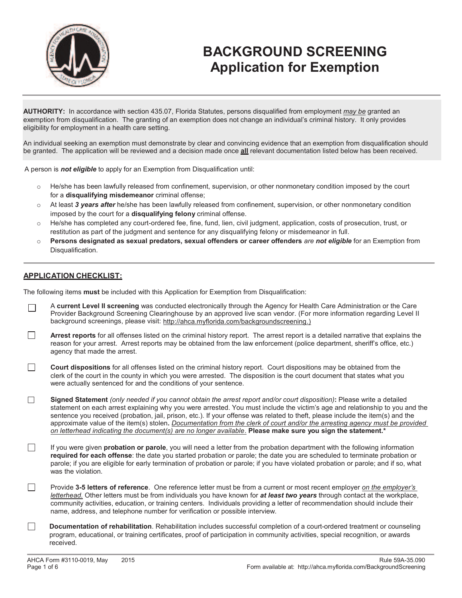

# **BACKGROUND SCREENING Application for Exemption**

**AUTHORITY:** In accordance with section 435.07, Florida Statutes, persons disqualified from employment *may be* granted an exemption from disqualification. The granting of an exemption does not change an individual's criminal history. It only provides eligibility for employment in a health care setting.

An individual seeking an exemption must demonstrate by clear and convincing evidence that an exemption from disqualification should be granted. The application will be reviewed and a decision made once **all** relevant documentation listed below has been received.

A person is *not eligible* to apply for an Exemption from Disqualification until:

- o He/she has been lawfully released from confinement, supervision, or other nonmonetary condition imposed by the court for a **disqualifying misdemeanor** criminal offense;
- o At least *3 years after* he/she has been lawfully released from confinement, supervision, or other nonmonetary condition imposed by the court for a **disqualifying felony** criminal offense.
- o He/she has completed any court-ordered fee, fine, fund, lien, civil judgment, application, costs of prosecution, trust, or restitution as part of the judgment and sentence for any disqualifying felony or misdemeanor in full.
- o **Persons designated as sexual predators, sexual offenders or career offenders** *are not eligible* for an Exemption from Disqualification.

#### **APPLICATION CHECKLIST:**

The following items **must** be included with this Application for Exemption from Disqualification:

- A **current Level II screening** was conducted electronically through the Agency for Health Care Administration or the Care  $\Box$ Provider Background Screening Clearinghouse by an approved live scan vendor. (For more information regarding Level II background screenings, please visit: http://ahca.myflorida.com/backgroundscreening.)
- П **Arrest reports** for all offenses listed on the criminal history report. The arrest report is a detailed narrative that explains the reason for your arrest. Arrest reports may be obtained from the law enforcement (police department, sheriff's office, etc.) agency that made the arrest.
- $\Box$ **Court dispositions** for all offenses listed on the criminal history report. Court dispositions may be obtained from the clerk of the court in the county in which you were arrested. The disposition is the court document that states what you were actually sentenced for and the conditions of your sentence.
- $\Box$ Signed Statement *(only needed if you cannot obtain the arrest report and/or court disposition): Please write a detailed* statement on each arrest explaining why you were arrested. You must include the victim's age and relationship to you and the sentence you received (probation, jail, prison, etc.). If your offense was related to theft, please include the item(s) and the approximate value of the item(s) stolen**.** *Documentation from the clerk of court and/or the arresting agency must be provided on letterhead indicating the document(s) are no longer available*. **Please make sure you sign the statement.\***
- П If you were given **probation or parole**, you will need a letter from the probation department with the following information **required for each offense**: the date you started probation or parole; the date you are scheduled to terminate probation or parole; if you are eligible for early termination of probation or parole; if you have violated probation or parole; and if so, what was the violation.
- П Provide **3-5 letters of reference**. One reference letter must be from a current or most recent employer *on the employer's letterhead.* Other letters must be from individuals you have known for *at least two years* through contact at the workplace, community activities, education, or training centers. Individuals providing a letter of recommendation should include their name, address, and telephone number for verification or possible interview.
- $\Box$ **Documentation of rehabilitation**. Rehabilitation includes successful completion of a court-ordered treatment or counseling program, educational, or training certificates, proof of participation in community activities, special recognition, or awards received.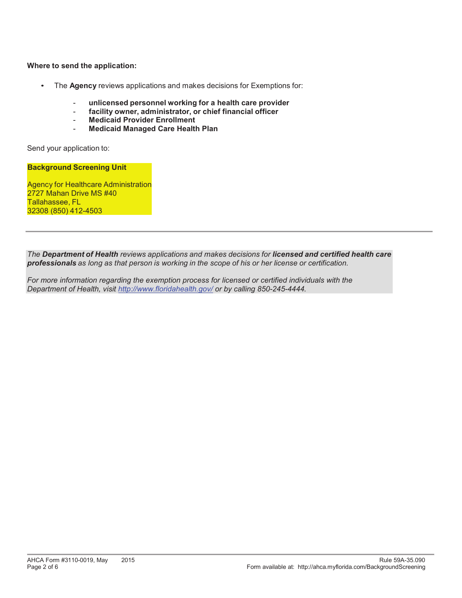**Where to send the application:**

- The **Agency** reviews applications and makes decisions for Exemptions for:
	- **unlicensed personnel working for a health care provider**
	- facility owner, administrator, or chief financial officer
	- **Medicaid Provider Enrollment**
	- **Medicaid Managed Care Health Plan**

Send your application to:

**Background Screening Unit**

Agency for Healthcare Administration 2727 Mahan Drive MS #40 Tallahassee, FL 32308 (850) 412-4503

*The Department of Health reviews applications and makes decisions for licensed and certified health care professionals as long as that person is working in the scope of his or her license or certification.* 

*For more information regarding the exemption process for licensed or certified individuals with the Department of Health, visit http://www.floridahealth.gov/ or by calling 850-245-4444.*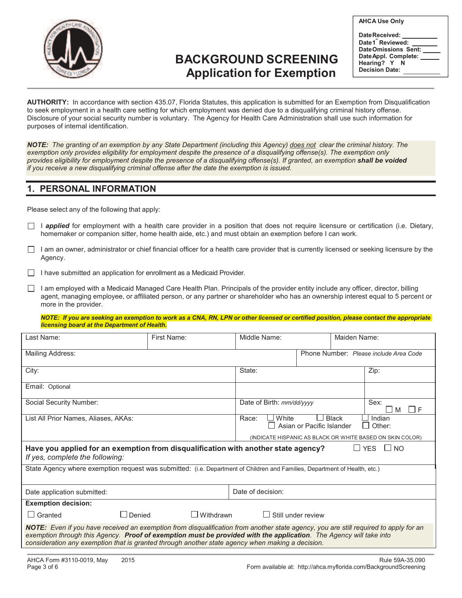

## **BACKGROUND SCREENING Application for Exemption**

**Date Received:**  Date 1<sup>"</sup> Reviewed: **Date Omissions Sent: Date Appl. Complete: Hearing? Y N Decision Date:**

**AUTHORITY:** In accordance with section 435.07, Florida Statutes, this application is submitted for an Exemption from Disqualification to seek employment in a health care setting for which employment was denied due to a disqualifying criminal history offense. Disclosure of your social security number is voluntary. The Agency for Health Care Administration shall use such information for purposes of internal identification.

*NOTE: The granting of an exemption by any State Department (including this Agency) does not clear the criminal history. The exemption only provides eligibility for employment despite the presence of a disqualifying offense(s). The exemption only*  provides eligibility for employment despite the presence of a disqualifying offense(s). If granted, an exemption **shall be voided** *if you receive a new disqualifying criminal offense after the date the exemption is issued.* 

## **1. PERSONAL INFORMATION**

Please select any of the following that apply:

- I **applied** for employment with a health care provider in a position that does not require licensure or certification (i.e. Dietary, homemaker or companion sitter, home health aide, etc.) and must obtain an exemption before I can work.
- $\Box$  I am an owner, administrator or chief financial officer for a health care provider that is currently licensed or seeking licensure by the Agency.

 $\Box$  I have submitted an application for enrollment as a Medicaid Provider.

 $\Box$  I am employed with a Medicaid Managed Care Health Plan. Principals of the provider entity include any officer, director, billing agent, managing employee, or affiliated person, or any partner or shareholder who has an ownership interest equal to 5 percent or more in the provider.

#### *NOTE: If you are seeking an exemption to work as a CNA, RN, LPN or other licensed or certified position, please contact the appropriate licensing board at the Department of Health.*

| Last Name:                                                                                                                                                                                                                                                                                                                                                     | First Name:      | Middle Name:              |                                           | Maiden Name:                                              |  |
|----------------------------------------------------------------------------------------------------------------------------------------------------------------------------------------------------------------------------------------------------------------------------------------------------------------------------------------------------------------|------------------|---------------------------|-------------------------------------------|-----------------------------------------------------------|--|
| Mailing Address:                                                                                                                                                                                                                                                                                                                                               |                  |                           |                                           | Phone Number: Please include Area Code                    |  |
| City:                                                                                                                                                                                                                                                                                                                                                          |                  | State:                    |                                           | Zip:                                                      |  |
| Email: Optional                                                                                                                                                                                                                                                                                                                                                |                  |                           |                                           |                                                           |  |
| Social Security Number:                                                                                                                                                                                                                                                                                                                                        |                  | Date of Birth: mm/dd/yyyy |                                           | Sex:<br>l IF<br>$\mathsf{L}$<br>M                         |  |
| List All Prior Names, Aliases, AKAs:                                                                                                                                                                                                                                                                                                                           |                  | White<br>Race:            | <b>Black</b><br>Asian or Pacific Islander | Indian<br>Other:                                          |  |
|                                                                                                                                                                                                                                                                                                                                                                |                  |                           |                                           | (INDICATE HISPANIC AS BLACK OR WHITE BASED ON SKIN COLOR) |  |
| LI YES<br>Have you applied for an exemption from disqualification with another state agency?<br>$\Gamma$ No<br>If yes, complete the following:                                                                                                                                                                                                                 |                  |                           |                                           |                                                           |  |
| State Agency where exemption request was submitted: (i.e. Department of Children and Families, Department of Health, etc.)                                                                                                                                                                                                                                     |                  |                           |                                           |                                                           |  |
| Date application submitted:                                                                                                                                                                                                                                                                                                                                    |                  | Date of decision:         |                                           |                                                           |  |
| <b>Exemption decision:</b>                                                                                                                                                                                                                                                                                                                                     |                  |                           |                                           |                                                           |  |
| $\Box$ Granted<br>Denied                                                                                                                                                                                                                                                                                                                                       | $\Box$ Withdrawn |                           | Still under review                        |                                                           |  |
| NOTE: Even if you have received an exemption from disqualification from another state agency, you are still required to apply for an<br>exemption through this Agency. Proof of exemption must be provided with the application. The Agency will take into<br>consideration any exemption that is granted through another state agency when making a decision. |                  |                           |                                           |                                                           |  |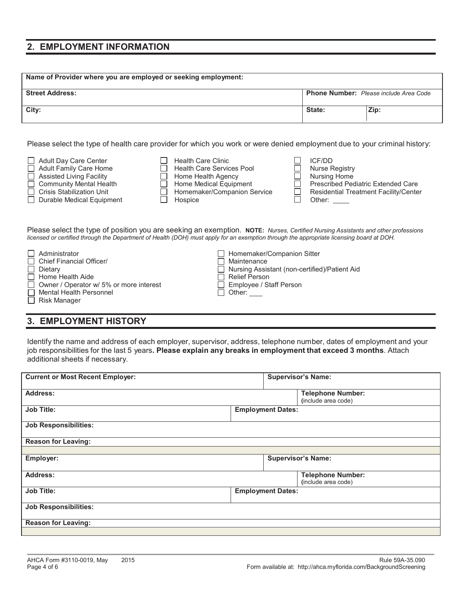### **2. EMPLOYMENT INFORMATION**

| Name of Provider where you are employed or seeking employment: |                                        |      |  |
|----------------------------------------------------------------|----------------------------------------|------|--|
| <b>Street Address:</b>                                         | Phone Number: Please include Area Code |      |  |
| City:                                                          | State:                                 | Zip: |  |

Please select the type of health care provider for which you work or were denied employment due to your criminal history:

| Adult Day Care Center<br>$\Box$ Adult Family Care Home<br>$\Box$ Assisted Living Facility<br>$\Box$ Community Mental Health<br>Crisis Stabilization Unit | <b>Health Care Clinic</b><br><b>Health Care Services Pool</b><br>Home Health Agency<br>Home Medical Equipment<br>Homemaker/Companion Service | ICE/DD<br><b>Nurse Registry</b><br>Nursing Home<br><b>Prescribed Pediatric Extended Care</b><br><b>Residential Treatment Facility/Center</b> |
|----------------------------------------------------------------------------------------------------------------------------------------------------------|----------------------------------------------------------------------------------------------------------------------------------------------|----------------------------------------------------------------------------------------------------------------------------------------------|
| Durable Medical Equipment                                                                                                                                | Hospice                                                                                                                                      | Other:                                                                                                                                       |
|                                                                                                                                                          |                                                                                                                                              |                                                                                                                                              |

Please select the type of position you are seeking an exemption. **NOTE:** *Nurses, Certified Nursing Assistants and other professions licensed or certified through the Department of Health (DOH) must apply for an exemption through the appropriate licensing board at DOH.*

| $\Box$ Administrator                           | Homemaker/Companion Sitter                      |
|------------------------------------------------|-------------------------------------------------|
| Chief Financial Officer/                       | Maintenance                                     |
| $\Box$ Dietary                                 | □ Nursing Assistant (non-certified)/Patient Aid |
| $\Box$ Home Health Aide                        | Ⅰ Relief Person                                 |
| $\Box$ Owner / Operator w/ 5% or more interest | Employee / Staff Person                         |
| Mental Health Personnel                        | $\Box$ Other: $\_\_$                            |
| $\Box$ Risk Manager                            |                                                 |

## **3. EMPLOYMENT HISTORY**

Identify the name and address of each employer, supervisor, address, telephone number, dates of employment and your job responsibilities for the last 5 years**. Please explain any breaks in employment that exceed 3 months**. Attach additional sheets if necessary.

| <b>Current or Most Recent Employer:</b> | <b>Supervisor's Name:</b>                       |
|-----------------------------------------|-------------------------------------------------|
|                                         |                                                 |
| <b>Address:</b>                         | <b>Telephone Number:</b><br>(include area code) |
| <b>Job Title:</b>                       | <b>Employment Dates:</b>                        |
| <b>Job Responsibilities:</b>            |                                                 |
| <b>Reason for Leaving:</b>              |                                                 |
|                                         |                                                 |
| Employer:                               | <b>Supervisor's Name:</b>                       |
| Address:                                | <b>Telephone Number:</b><br>(include area code) |
| <b>Job Title:</b>                       | <b>Employment Dates:</b>                        |
| <b>Job Responsibilities:</b>            |                                                 |
| <b>Reason for Leaving:</b>              |                                                 |
|                                         |                                                 |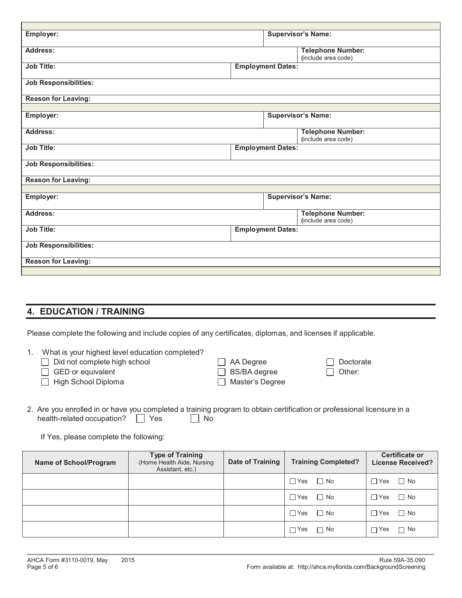| Employer:                    | <b>Supervisor's Name:</b>                       |
|------------------------------|-------------------------------------------------|
| Address:                     | <b>Telephone Number:</b><br>(include area code) |
| <b>Job Title:</b>            | <b>Employment Dates:</b>                        |
| <b>Job Responsibilities:</b> |                                                 |
| <b>Reason for Leaving:</b>   |                                                 |
|                              |                                                 |
| Employer:                    | <b>Supervisor's Name:</b>                       |
| Address:                     | <b>Telephone Number:</b><br>(include area code) |
| <b>Job Title:</b>            | <b>Employment Dates:</b>                        |
| <b>Job Responsibilities:</b> |                                                 |
| <b>Reason for Leaving:</b>   |                                                 |
|                              |                                                 |
| Employer:                    | <b>Supervisor's Name:</b>                       |
| <b>Address:</b>              | <b>Telephone Number:</b><br>(include area code) |
| <b>Job Title:</b>            | <b>Employment Dates:</b>                        |
| <b>Job Responsibilities:</b> |                                                 |
| <b>Reason for Leaving:</b>   |                                                 |
|                              |                                                 |

## **4. EDUCATION / TRAINING**

Please complete the following and include copies of any certificates, diplomas, and licenses if applicable.

| What is your highest level education completed? |                        |               |
|-------------------------------------------------|------------------------|---------------|
| $\Box$ Did not complete high school             | $\Box$ AA Degree       | Doctorate     |
| $\Box$ GED or equivalent                        | $\Box$ BS/BA degree    | $\Box$ Other: |
| $\Box$ High School Diploma                      | $\Box$ Master's Degree |               |

2. Are you enrolled in or have you completed a training program to obtain certification or professional licensure in a health-related occupation? Ses Mo

If Yes, please complete the following:

| <b>Name of School/Program</b> | <b>Type of Training</b><br>(Home Health Aide, Nursing<br>Assistant, etc.) | Date of Training | <b>Training Completed?</b> | <b>Certificate or</b><br><b>License Received?</b> |
|-------------------------------|---------------------------------------------------------------------------|------------------|----------------------------|---------------------------------------------------|
|                               |                                                                           |                  | $\Box$ Yes<br>$\Box$ No    | $\Box$ No<br>$\Box$ Yes                           |
|                               |                                                                           |                  | $\Box$ Yes $\Box$ No       | $\Box$ No<br>$\Box$ Yes                           |
|                               |                                                                           |                  | $\Box$ No<br>$\Box$ Yes    | $\Box$ No<br>$\Box$ Yes                           |
|                               |                                                                           |                  | $\Box$ Yes<br>$\Box$ No    | $\Box$ No<br>$\sqcap$ Yes                         |